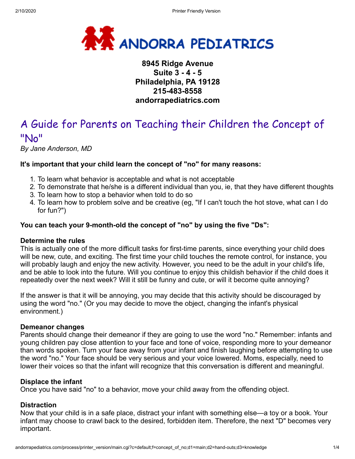

### **8945 Ridge Avenue Suite 3 - 4 - 5 Philadelphia, PA 19128 215-483-8558 andorrapediatrics.com**

## A Guide for Parents on Teaching their Children the Concept of "No"

*By Jane Anderson, MD*

#### **It's important that your child learn the concept of "no" for many reasons:**

- 1. To learn what behavior is acceptable and what is not acceptable
- 2. To demonstrate that he/she is a different individual than you, ie, that they have different thoughts
- 3. To learn how to stop a behavior when told to do so
- 4. To learn how to problem solve and be creative (eg, "If I can't touch the hot stove, what can I do for fun?")

#### **You can teach your 9-month-old the concept of "no" by using the five "Ds":**

#### **Determine the rules**

This is actually one of the more difficult tasks for first-time parents, since everything your child does will be new, cute, and exciting. The first time your child touches the remote control, for instance, you will probably laugh and enjoy the new activity. However, you need to be the adult in your child's life, and be able to look into the future. Will you continue to enjoy this childish behavior if the child does it repeatedly over the next week? Will it still be funny and cute, or will it become quite annoying?

If the answer is that it will be annoying, you may decide that this activity should be discouraged by using the word "no." (Or you may decide to move the object, changing the infant's physical environment.)

#### **Demeanor changes**

Parents should change their demeanor if they are going to use the word "no." Remember: infants and young children pay close attention to your face and tone of voice, responding more to your demeanor than words spoken. Turn your face away from your infant and finish laughing before attempting to use the word "no." Your face should be very serious and your voice lowered. Moms, especially, need to lower their voices so that the infant will recognize that this conversation is different and meaningful.

#### **Displace the infant**

Once you have said "no" to a behavior, move your child away from the offending object.

#### **Distraction**

Now that your child is in a safe place, distract your infant with something else—a toy or a book. Your infant may choose to crawl back to the desired, forbidden item. Therefore, the next "D" becomes very important.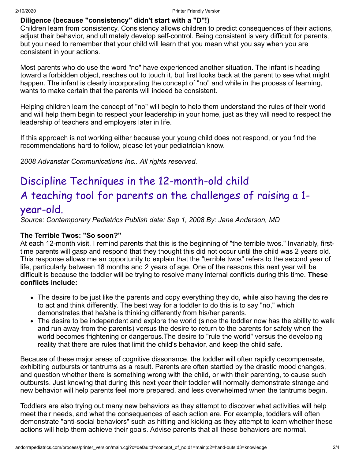#### **Diligence (because "consistency" didn't start with a "D"!)**

Children learn from consistency. Consistency allows children to predict consequences of their actions, adjust their behavior, and ultimately develop self-control. Being consistent is very difficult for parents, but you need to remember that your child will learn that you mean what you say when you are consistent in your actions.

Most parents who do use the word "no" have experienced another situation. The infant is heading toward a forbidden object, reaches out to touch it, but first looks back at the parent to see what might happen. The infant is clearly incorporating the concept of "no" and while in the process of learning, wants to make certain that the parents will indeed be consistent.

Helping children learn the concept of "no" will begin to help them understand the rules of their world and will help them begin to respect your leadership in your home, just as they will need to respect the leadership of teachers and employers later in life.

If this approach is not working either because your young child does not respond, or you find the recommendations hard to follow, please let your pediatrician know.

*2008 Advanstar Communications Inc.. All rights reserved.*

# Discipline Techniques in the 12-month-old child A teaching tool for parents on the challenges of raising a 1 year-old.

*Source: Contemporary Pediatrics Publish date: Sep 1, 2008 By: Jane Anderson, MD*

#### **The Terrible Twos: "So soon?"**

At each 12-month visit, I remind parents that this is the beginning of "the terrible twos." Invariably, firsttime parents will gasp and respond that they thought this did not occur until the child was 2 years old. This response allows me an opportunity to explain that the "terrible twos" refers to the second year of life, particularly between 18 months and 2 years of age. One of the reasons this next year will be difficult is because the toddler will be trying to resolve many internal conflicts during this time. **These conflicts include:**

- The desire to be just like the parents and copy everything they do, while also having the desire to act and think differently. The best way for a toddler to do this is to say "no," which demonstrates that he/she is thinking differently from his/her parents.
- The desire to be independent and explore the world (since the toddler now has the ability to walk and run away from the parents) versus the desire to return to the parents for safety when the world becomes frightening or dangerous.The desire to "rule the world" versus the developing reality that there are rules that limit the child's behavior, and keep the child safe.

Because of these major areas of cognitive dissonance, the toddler will often rapidly decompensate, exhibiting outbursts or tantrums as a result. Parents are often startled by the drastic mood changes, and question whether there is something wrong with the child, or with their parenting, to cause such outbursts. Just knowing that during this next year their toddler will normally demonstrate strange and new behavior will help parents feel more prepared, and less overwhelmed when the tantrums begin.

Toddlers are also trying out many new behaviors as they attempt to discover what activities will help meet their needs, and what the consequences of each action are. For example, toddlers will often demonstrate "anti-social behaviors" such as hitting and kicking as they attempt to learn whether these actions will help them achieve their goals. Advise parents that all these behaviors are normal.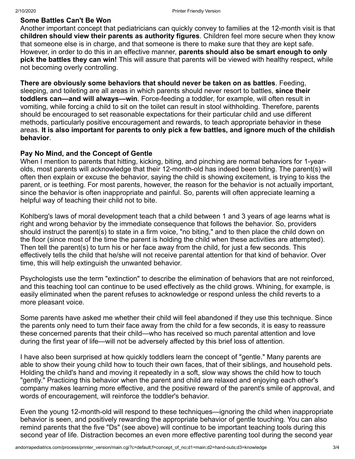#### **Some Battles Can't Be Won**

Another important concept that pediatricians can quickly convey to families at the 12-month visit is that **children should view their parents as authority figures**. Children feel more secure when they know that someone else is in charge, and that someone is there to make sure that they are kept safe. However, in order to do this in an effective manner, **parents should also be smart enough to only pick the battles they can win!** This will assure that parents will be viewed with healthy respect, while not becoming overly controlling.

**There are obviously some behaviors that should never be taken on as battles**. Feeding, sleeping, and toileting are all areas in which parents should never resort to battles, **since their toddlers can—and will always—win**. Force-feeding a toddler, for example, will often result in vomiting, while forcing a child to sit on the toilet can result in stool withholding. Therefore, parents should be encouraged to set reasonable expectations for their particular child and use different methods, particularly positive encouragement and rewards, to teach appropriate behavior in these areas. **It is also important for parents to only pick a few battles, and ignore much of the childish behavior**.

#### **Pay No Mind, and the Concept of Gentle**

When I mention to parents that hitting, kicking, biting, and pinching are normal behaviors for 1-yearolds, most parents will acknowledge that their 12-month-old has indeed been biting. The parent(s) will often then explain or excuse the behavior, saying the child is showing excitement, is trying to kiss the parent, or is teething. For most parents, however, the reason for the behavior is not actually important, since the behavior is often inappropriate and painful. So, parents will often appreciate learning a helpful way of teaching their child not to bite.

Kohlberg's laws of moral development teach that a child between 1 and 3 years of age learns what is right and wrong behavior by the immediate consequence that follows the behavior. So, providers should instruct the parent(s) to state in a firm voice, "no biting," and to then place the child down on the floor (since most of the time the parent is holding the child when these activities are attempted). Then tell the parent(s) to turn his or her face away from the child, for just a few seconds. This effectively tells the child that he/she will not receive parental attention for that kind of behavior. Over time, this will help extinguish the unwanted behavior.

Psychologists use the term "extinction" to describe the elimination of behaviors that are not reinforced, and this teaching tool can continue to be used effectively as the child grows. Whining, for example, is easily eliminated when the parent refuses to acknowledge or respond unless the child reverts to a more pleasant voice.

Some parents have asked me whether their child will feel abandoned if they use this technique. Since the parents only need to turn their face away from the child for a few seconds, it is easy to reassure these concerned parents that their child—who has received so much parental attention and love during the first year of life—will not be adversely affected by this brief loss of attention.

I have also been surprised at how quickly toddlers learn the concept of "gentle." Many parents are able to show their young child how to touch their own faces, that of their siblings, and household pets. Holding the child's hand and moving it repeatedly in a soft, slow way shows the child how to touch "gently." Practicing this behavior when the parent and child are relaxed and enjoying each other's company makes learning more effective, and the positive reward of the parent's smile of approval, and words of encouragement, will reinforce the toddler's behavior.

Even the young 12-month-old will respond to these techniques—ignoring the child when inappropriate behavior is seen, and positively rewarding the appropriate behavior of gentle touching. You can also remind parents that the five "Ds" (see above) will continue to be important teaching tools during this second year of life. Distraction becomes an even more effective parenting tool during the second year